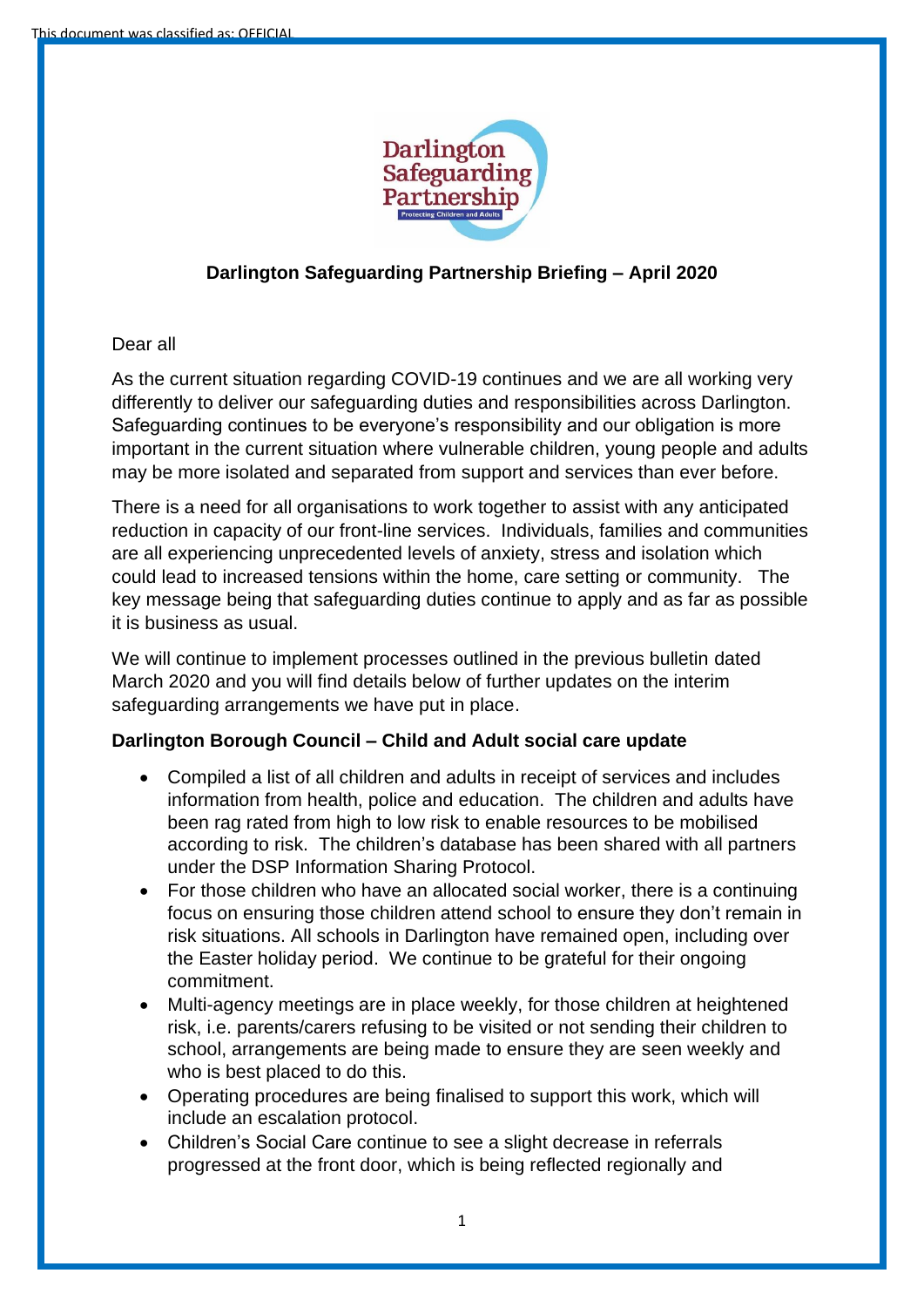

# **Darlington Safeguarding Partnership Briefing – April 2020**

## Dear all

As the current situation regarding COVID-19 continues and we are all working very differently to deliver our safeguarding duties and responsibilities across Darlington. Safeguarding continues to be everyone's responsibility and our obligation is more important in the current situation where vulnerable children, young people and adults may be more isolated and separated from support and services than ever before.

There is a need for all organisations to work together to assist with any anticipated reduction in capacity of our front-line services. Individuals, families and communities are all experiencing unprecedented levels of anxiety, stress and isolation which could lead to increased tensions within the home, care setting or community. The key message being that safeguarding duties continue to apply and as far as possible it is business as usual.

We will continue to implement processes outlined in the previous bulletin dated March 2020 and you will find details below of further updates on the interim safeguarding arrangements we have put in place.

### **Darlington Borough Council – Child and Adult social care update**

- Compiled a list of all children and adults in receipt of services and includes information from health, police and education. The children and adults have been rag rated from high to low risk to enable resources to be mobilised according to risk. The children's database has been shared with all partners under the DSP Information Sharing Protocol.
- For those children who have an allocated social worker, there is a continuing focus on ensuring those children attend school to ensure they don't remain in risk situations. All schools in Darlington have remained open, including over the Easter holiday period. We continue to be grateful for their ongoing commitment.
- Multi-agency meetings are in place weekly, for those children at heightened risk, i.e. parents/carers refusing to be visited or not sending their children to school, arrangements are being made to ensure they are seen weekly and who is best placed to do this.
- Operating procedures are being finalised to support this work, which will include an escalation protocol.
- Children's Social Care continue to see a slight decrease in referrals progressed at the front door, which is being reflected regionally and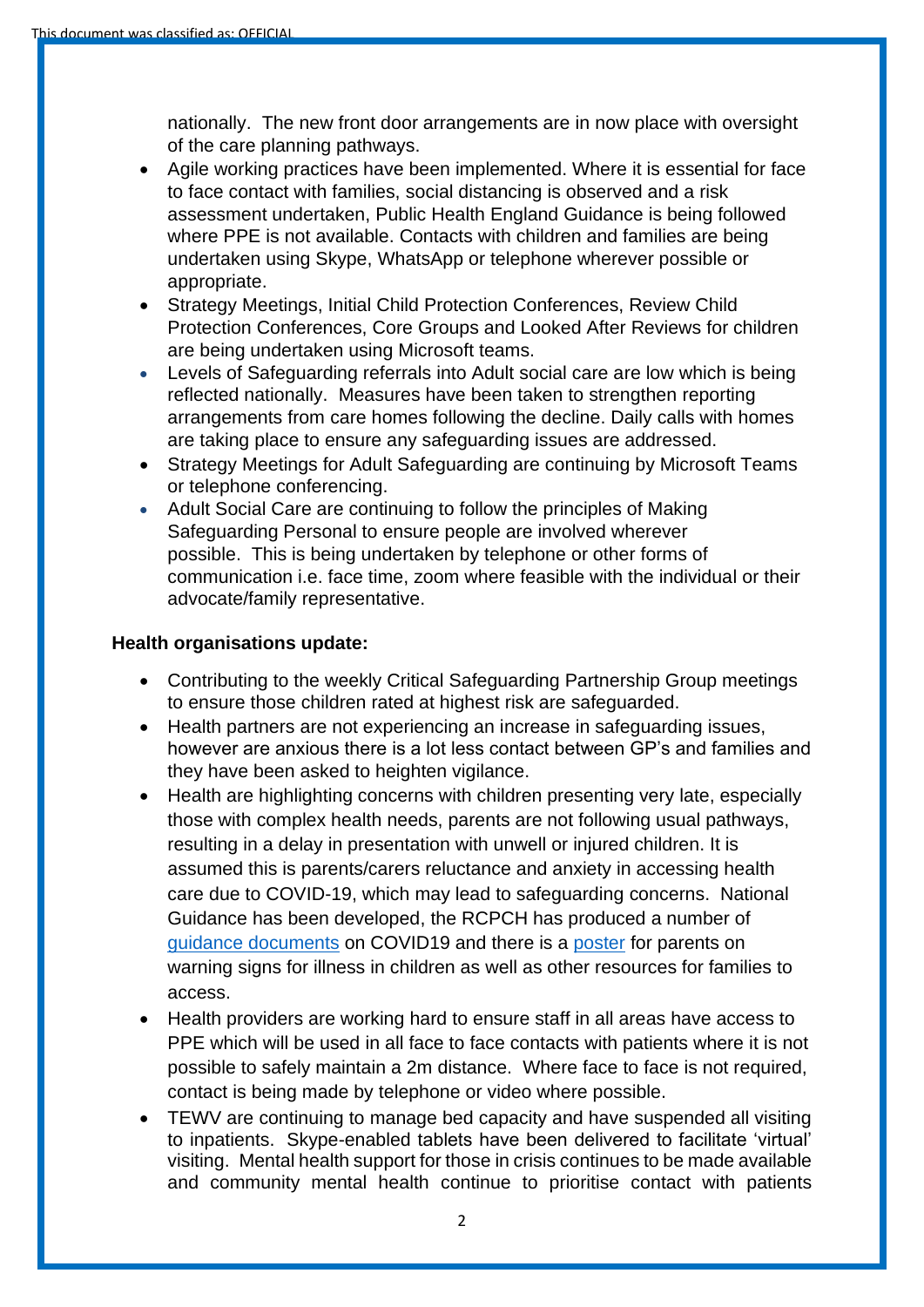nationally. The new front door arrangements are in now place with oversight of the care planning pathways.

- Agile working practices have been implemented. Where it is essential for face to face contact with families, social distancing is observed and a risk assessment undertaken, Public Health England Guidance is being followed where PPE is not available. Contacts with children and families are being undertaken using Skype, WhatsApp or telephone wherever possible or appropriate.
- Strategy Meetings, Initial Child Protection Conferences, Review Child Protection Conferences, Core Groups and Looked After Reviews for children are being undertaken using Microsoft teams.
- Levels of Safeguarding referrals into Adult social care are low which is being reflected nationally. Measures have been taken to strengthen reporting arrangements from care homes following the decline. Daily calls with homes are taking place to ensure any safeguarding issues are addressed.
- Strategy Meetings for Adult Safeguarding are continuing by Microsoft Teams or telephone conferencing.
- Adult Social Care are continuing to follow the principles of Making Safeguarding Personal to ensure people are involved wherever possible. This is being undertaken by telephone or other forms of communication i.e. face time, zoom where feasible with the individual or their advocate/family representative.

### **Health organisations update:**

- Contributing to the weekly Critical Safeguarding Partnership Group meetings to ensure those children rated at highest risk are safeguarded.
- Health partners are not experiencing an increase in safeguarding issues, however are anxious there is a lot less contact between GP's and families and they have been asked to heighten vigilance.
- Health are highlighting concerns with children presenting very late, especially those with complex health needs, parents are not following usual pathways, resulting in a delay in presentation with unwell or injured children. It is assumed this is parents/carers reluctance and anxiety in accessing health care due to COVID-19, which may lead to safeguarding concerns. National Guidance has been developed, the RCPCH has produced a number of [guidance documents](https://www.rcpch.ac.uk/key-topics/covid-19) on COVID19 and there is a [poster](https://www.rcpch.ac.uk/sites/default/files/2020-04/covid19_advice_for_parents_when_child_unwell_or_injured_poster.pdf) for parents on warning signs for illness in children as well as other resources for families to access.
- Health providers are working hard to ensure staff in all areas have access to PPE which will be used in all face to face contacts with patients where it is not possible to safely maintain a 2m distance. Where face to face is not required, contact is being made by telephone or video where possible.
- TEWV are continuing to manage bed capacity and have suspended all visiting to inpatients. Skype-enabled tablets have been delivered to facilitate 'virtual' visiting. Mental health support for those in crisis continues to be made available and community mental health continue to prioritise contact with patients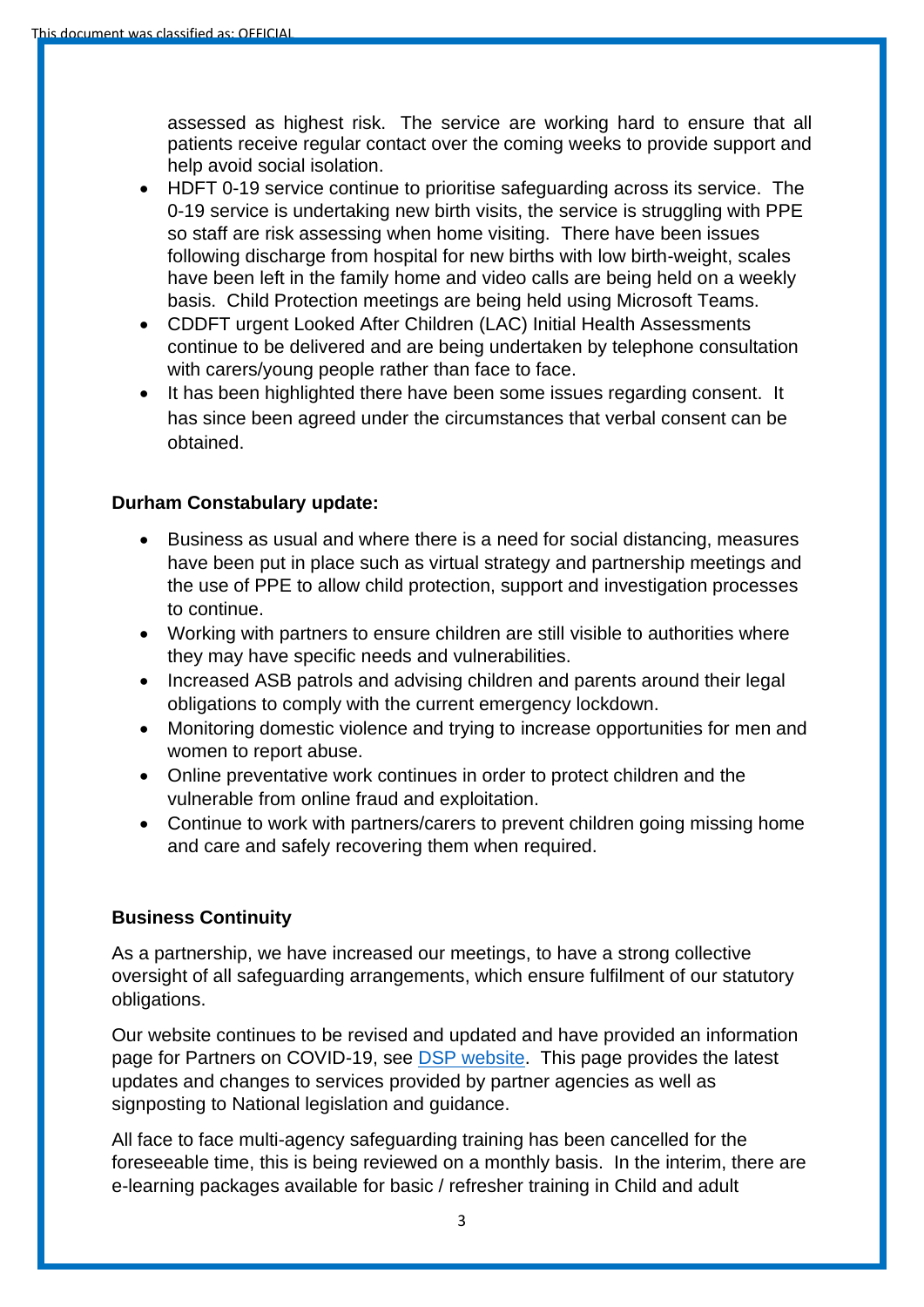assessed as highest risk. The service are working hard to ensure that all patients receive regular contact over the coming weeks to provide support and help avoid social isolation.

- HDFT 0-19 service continue to prioritise safeguarding across its service. The 0-19 service is undertaking new birth visits, the service is struggling with PPE so staff are risk assessing when home visiting. There have been issues following discharge from hospital for new births with low birth-weight, scales have been left in the family home and video calls are being held on a weekly basis. Child Protection meetings are being held using Microsoft Teams.
- CDDFT urgent Looked After Children (LAC) Initial Health Assessments continue to be delivered and are being undertaken by telephone consultation with carers/young people rather than face to face.
- It has been highlighted there have been some issues regarding consent. It has since been agreed under the circumstances that verbal consent can be obtained.

### **Durham Constabulary update:**

- Business as usual and where there is a need for social distancing, measures have been put in place such as virtual strategy and partnership meetings and the use of PPE to allow child protection, support and investigation processes to continue.
- Working with partners to ensure children are still visible to authorities where they may have specific needs and vulnerabilities.
- Increased ASB patrols and advising children and parents around their legal obligations to comply with the current emergency lockdown.
- Monitoring domestic violence and trying to increase opportunities for men and women to report abuse.
- Online preventative work continues in order to protect children and the vulnerable from online fraud and exploitation.
- Continue to work with partners/carers to prevent children going missing home and care and safely recovering them when required.

### **Business Continuity**

As a partnership, we have increased our meetings, to have a strong collective oversight of all safeguarding arrangements, which ensure fulfilment of our statutory obligations.

Our website continues to be revised and updated and have provided an information page for Partners on COVID-19, see [DSP website.](https://darlington-safeguarding-partnership.co.uk/about-us/covid-19-information-for-partners/) This page provides the latest updates and changes to services provided by partner agencies as well as signposting to National legislation and guidance.

All face to face multi-agency safeguarding training has been cancelled for the foreseeable time, this is being reviewed on a monthly basis. In the interim, there are e-learning packages available for basic / refresher training in Child and adult